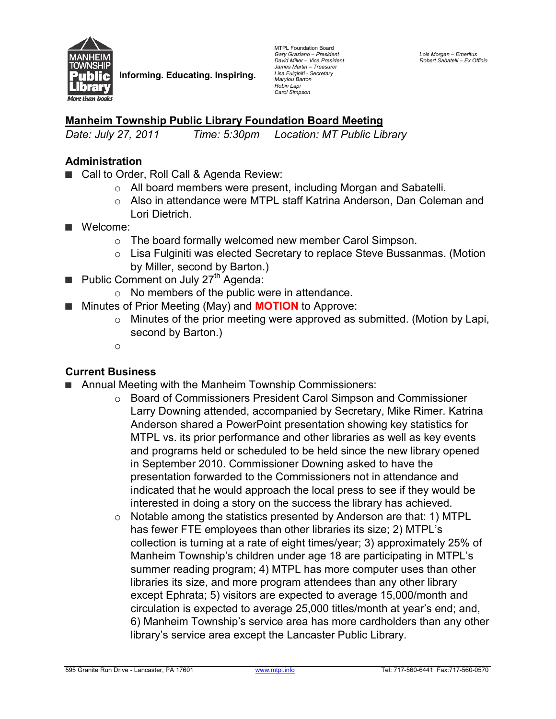

**Informing. Educating. Inspiring.** 

MTPL Foundation Board *Gary Graziano – President David Miller – Vice President James Martin – Treasurer Lisa Fulginiti - Secretary Marylou Barton Robin Lapi Carol Simpson* 

## **Manheim Township Public Library Foundation Board Meeting**

*Date: July 27, 2011 Time: 5:30pm Location: MT Public Library* 

#### **Administration**

- Call to Order, Roll Call & Agenda Review:
	- o All board members were present, including Morgan and Sabatelli.
	- $\circ$  Also in attendance were MTPL staff Katrina Anderson, Dan Coleman and Lori Dietrich.
- **■** Welcome:
	- o The board formally welcomed new member Carol Simpson.
	- $\circ$  Lisa Fulginiti was elected Secretary to replace Steve Bussanmas. (Motion by Miller, second by Barton.)
- Public Comment on July 27<sup>th</sup> Agenda:
	- o No members of the public were in attendance.
- **■** Minutes of Prior Meeting (May) and **MOTION** to Approve:
	- o Minutes of the prior meeting were approved as submitted. (Motion by Lapi, second by Barton.)
	- o

### **Current Business**

- **■** Annual Meeting with the Manheim Township Commissioners:
	- o Board of Commissioners President Carol Simpson and Commissioner Larry Downing attended, accompanied by Secretary, Mike Rimer. Katrina Anderson shared a PowerPoint presentation showing key statistics for MTPL vs. its prior performance and other libraries as well as key events and programs held or scheduled to be held since the new library opened in September 2010. Commissioner Downing asked to have the presentation forwarded to the Commissioners not in attendance and indicated that he would approach the local press to see if they would be interested in doing a story on the success the library has achieved.
	- $\circ$  Notable among the statistics presented by Anderson are that: 1) MTPL has fewer FTE employees than other libraries its size; 2) MTPL's collection is turning at a rate of eight times/year; 3) approximately 25% of Manheim Township's children under age 18 are participating in MTPL's summer reading program; 4) MTPL has more computer uses than other libraries its size, and more program attendees than any other library except Ephrata; 5) visitors are expected to average 15,000/month and circulation is expected to average 25,000 titles/month at year's end; and, 6) Manheim Township's service area has more cardholders than any other library's service area except the Lancaster Public Library.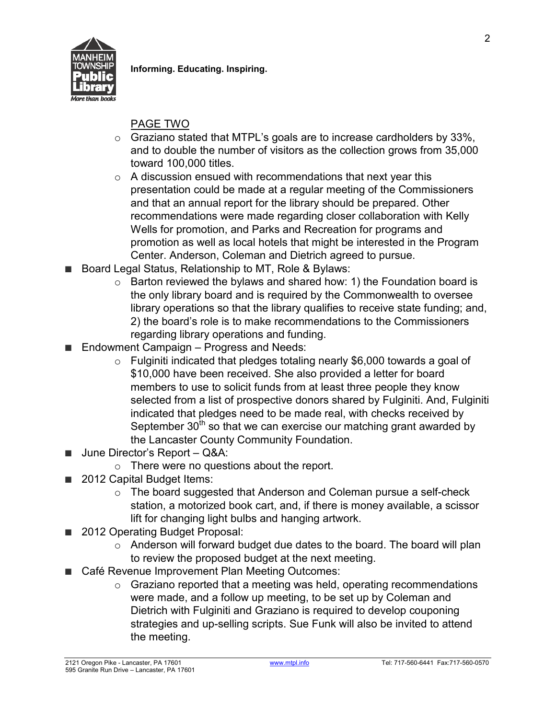

**Informing. Educating. Inspiring.**

# PAGE TWO

- $\circ$  Graziano stated that MTPL's goals are to increase cardholders by 33%, and to double the number of visitors as the collection grows from 35,000 toward 100,000 titles.
- $\circ$  A discussion ensued with recommendations that next year this presentation could be made at a regular meeting of the Commissioners and that an annual report for the library should be prepared. Other recommendations were made regarding closer collaboration with Kelly Wells for promotion, and Parks and Recreation for programs and promotion as well as local hotels that might be interested in the Program Center. Anderson, Coleman and Dietrich agreed to pursue.
- Board Legal Status, Relationship to MT, Role & Bylaws:
	- $\circ$  Barton reviewed the bylaws and shared how: 1) the Foundation board is the only library board and is required by the Commonwealth to oversee library operations so that the library qualifies to receive state funding; and, 2) the board's role is to make recommendations to the Commissioners regarding library operations and funding.
- Endowment Campaign Progress and Needs:
	- $\circ$  Fulginiti indicated that pledges totaling nearly \$6,000 towards a goal of \$10,000 have been received. She also provided a letter for board members to use to solicit funds from at least three people they know selected from a list of prospective donors shared by Fulginiti. And, Fulginiti indicated that pledges need to be made real, with checks received by September  $30<sup>th</sup>$  so that we can exercise our matching grant awarded by the Lancaster County Community Foundation.
- **■** June Director's Report Q&A:
	- $\circ$  There were no questions about the report.
- 2012 Capital Budget Items:
	- $\circ$  The board suggested that Anderson and Coleman pursue a self-check station, a motorized book cart, and, if there is money available, a scissor lift for changing light bulbs and hanging artwork.
- 2012 Operating Budget Proposal:
	- o Anderson will forward budget due dates to the board. The board will plan to review the proposed budget at the next meeting.
- Café Revenue Improvement Plan Meeting Outcomes:
	- $\circ$  Graziano reported that a meeting was held, operating recommendations were made, and a follow up meeting, to be set up by Coleman and Dietrich with Fulginiti and Graziano is required to develop couponing strategies and up-selling scripts. Sue Funk will also be invited to attend the meeting.